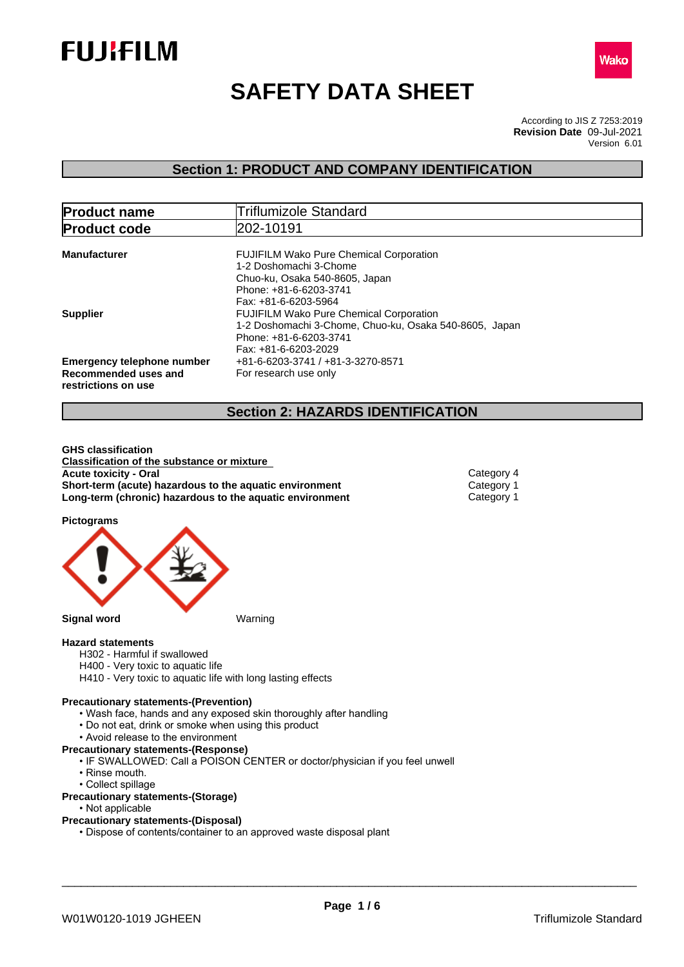



# **SAFETY DATA SHEET**

According to JIS Z 7253:2019 Version 6.01 **Revision Date** 09-Jul-2021

### **Section 1: PRODUCT AND COMPANY IDENTIFICATION**

| <b>Product name</b>                                                              | <b>Triflumizole Standard</b>                                                                                                                                 |  |
|----------------------------------------------------------------------------------|--------------------------------------------------------------------------------------------------------------------------------------------------------------|--|
| <b>Product code</b>                                                              | 202-10191                                                                                                                                                    |  |
| <b>Manufacturer</b>                                                              | <b>FUJIFILM Wako Pure Chemical Corporation</b><br>1-2 Doshomachi 3-Chome<br>Chuo-ku, Osaka 540-8605, Japan<br>Phone: +81-6-6203-3741<br>Fax: +81-6-6203-5964 |  |
| <b>Supplier</b>                                                                  | <b>FUJIFILM Wako Pure Chemical Corporation</b><br>1-2 Doshomachi 3-Chome, Chuo-ku, Osaka 540-8605, Japan<br>Phone: +81-6-6203-3741<br>Fax: +81-6-6203-2029   |  |
| <b>Emergency telephone number</b><br>Recommended uses and<br>restrictions on use | +81-6-6203-3741 / +81-3-3270-8571<br>For research use only                                                                                                   |  |

### **Section 2: HAZARDS IDENTIFICATION**

**GHS classification Classification of the substance or mixture Acute toxicity - Oral** Category 4 **Short-term (acute) hazardous to the aquatic environment** Category 1<br> **Long-term (chronic) hazardous to the aquatic environment** Category 1 **Long-term (chronic) hazardous to the aquatic environment** 

**Pictograms**



#### **Hazard statements**

- H302 Harmful if swallowed
- H400 Very toxic to aquatic life
- H410 Very toxic to aquatic life with long lasting effects

#### **Precautionary statements-(Prevention)**

- Wash face, hands and any exposed skin thoroughly after handling
- Do not eat, drink or smoke when using this product
- Avoid release to the environment
- **Precautionary statements-(Response)**
	- IF SWALLOWED: Call a POISON CENTER or doctor/physician if you feel unwell
	- Rinse mouth.
	- Collect spillage

#### **Precautionary statements-(Storage)**

• Not applicable

#### **Precautionary statements-(Disposal)**

• Dispose of contents/container to an approved waste disposal plant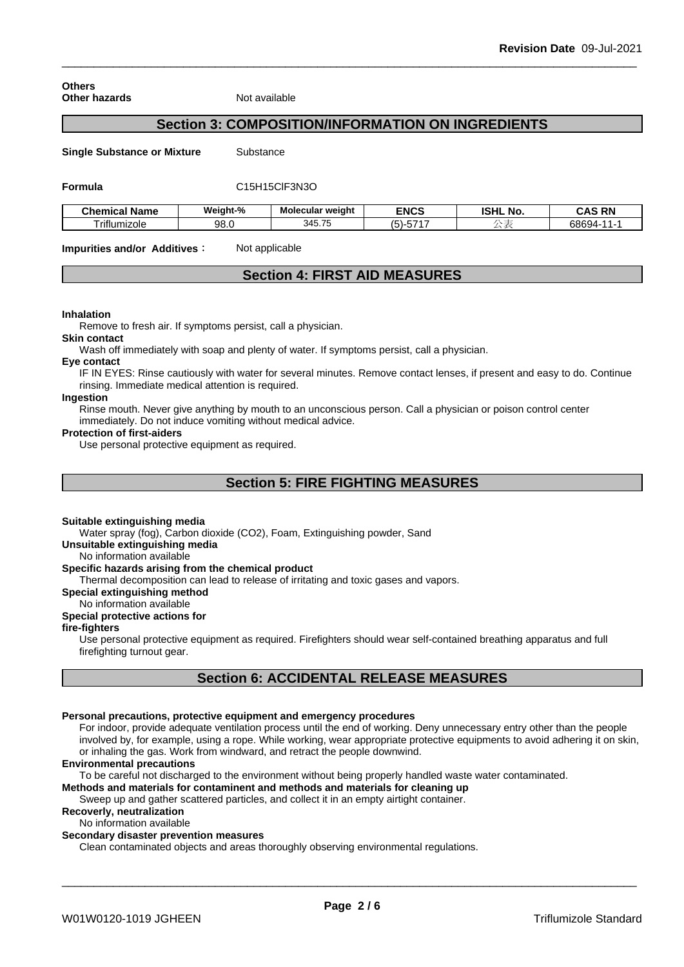| <b>Others</b>        |  |
|----------------------|--|
| <b>Other hazards</b> |  |

**Not available** 

### **Section 3: COMPOSITION/INFORMATION ON INGREDIENTS**

**Single Substance or Mixture** Substance

#### **Formula** C15H15ClF3N3O

| Chemical Name | Weiaht-%    | .<br>Molecular weight | <b>ENCS</b>            | <b>ICLIL</b><br>. .<br>. NO.<br>ISHL | <b>RN</b><br>'N.<br>-nr<br>unu |
|---------------|-------------|-----------------------|------------------------|--------------------------------------|--------------------------------|
| Triflumizole  | QR.<br>JU.U | 345.75                | $- - -$<br>-- ان.<br>ິ |                                      | <b>68694-</b><br>. .<br>,,,,,  |

**Impurities and/or Additives:** Not applicable

### **Section 4: FIRST AID MEASURES**

#### **Inhalation**

Remove to fresh air. If symptoms persist, call a physician.

#### **Skin contact**

Wash off immediately with soap and plenty of water. If symptoms persist, call a physician.

#### **Eye contact**

IF IN EYES: Rinse cautiously with water for several minutes. Remove contact lenses, if present and easy to do. Continue rinsing. Immediate medical attention is required.

### **Ingestion**

Rinse mouth. Never give anything by mouth to an unconscious person. Call a physician or poison control center immediately. Do not induce vomiting without medical advice.

#### **Protection of first-aiders**

Use personal protective equipment as required.

### **Section 5: FIRE FIGHTING MEASURES**

#### **Suitable extinguishing media**

Water spray (fog), Carbon dioxide (CO2), Foam, Extinguishing powder, Sand

#### **Unsuitable extinguishing media**

No information available

#### **Specific hazards arising from the chemical product**

Thermal decomposition can lead to release of irritating and toxic gases and vapors.

#### **Special extinguishing method**

No information available

### **Special protective actions for**

### **fire-fighters**

Use personal protective equipment as required.Firefighters should wear self-contained breathing apparatus and full firefighting turnout gear.

### **Section 6: ACCIDENTAL RELEASE MEASURES**

### **Personal precautions, protective equipment and emergency procedures**

For indoor, provide adequate ventilation process until the end of working. Deny unnecessary entry other than the people involved by, for example, using a rope. While working, wear appropriate protective equipments to avoid adhering it on skin, or inhaling the gas. Work from windward, and retract the people downwind.

#### **Environmental precautions**

To be careful not discharged to the environment without being properly handled waste water contaminated.

### **Methods and materials for contaminent and methods and materials for cleaning up**

Sweep up and gather scattered particles, and collect it in an empty airtight container.

### **Recoverly, neutralization**

No information available

### **Secondary disaster prevention measures**

Clean contaminated objects and areas thoroughly observing environmental regulations.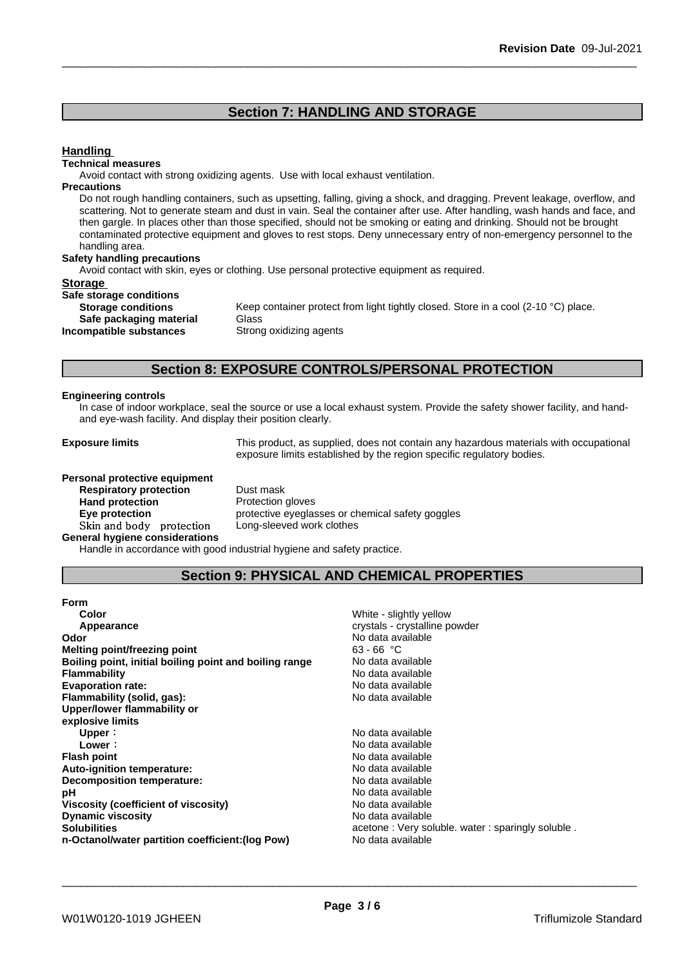### **Section 7: HANDLING AND STORAGE**

### **Handling**

#### **Technical measures**

Avoid contact with strong oxidizing agents. Use with local exhaust ventilation.

#### **Precautions**

Do not rough handling containers, such as upsetting, falling, giving a shock, and dragging. Prevent leakage, overflow, and scattering. Not to generate steam and dust in vain. Seal the container after use. After handling, wash hands and face, and then gargle. In places other than those specified, should not be smoking or eating and drinking. Should not be brought contaminated protective equipment and gloves to rest stops. Deny unnecessary entry of non-emergency personnel to the handling area.

#### **Safety handling precautions**

Avoid contact with skin, eyes or clothing. Use personal protective equipment as required.

#### **Storage**

| Safe storage conditions   |             |
|---------------------------|-------------|
| <b>Storage conditions</b> | Keep conta  |
| Safe packaging material   | Glass       |
| Incompatible substances   | Strong oxid |

Keep container protect from light tightly closed. Store in a cool (2-10 °C) place. **Safe packaging material** Glass **Strong oxidizing agents** 

### **Section 8: EXPOSURE CONTROLS/PERSONAL PROTECTION**

#### **Engineering controls**

In case of indoor workplace, seal the source or use a local exhaust system. Provide the safety shower facility, and handand eye-wash facility. And display their position clearly.

**Exposure limits** This product, as supplied, does not contain any hazardous materials with occupational exposure limits established by the region specific regulatory bodies.

#### **Personal protective equipment**

**Respiratory protection** Dust mask **Hand protection**<br> **Eye protection**<br> **Eye protection**<br> **Exercise Protective eveglation** Skin and body protection **General hygiene considerations**

protective eyeglasses or chemical safety goggles<br>Long-sleeved work clothes

Handle in accordance with good industrial hygiene and safety practice.

### **Section 9: PHYSICAL AND CHEMICAL PROPERTIES**

| <b>Form</b>                                            |                                                  |
|--------------------------------------------------------|--------------------------------------------------|
| Color                                                  | White - slightly yellow                          |
| Appearance                                             | crystals - crystalline powder                    |
| Odor                                                   | No data available                                |
| Melting point/freezing point                           | $63 - 66 °C$                                     |
| Boiling point, initial boiling point and boiling range | No data available                                |
| <b>Flammability</b>                                    | No data available                                |
| <b>Evaporation rate:</b>                               | No data available                                |
| Flammability (solid, gas):                             | No data available                                |
| Upper/lower flammability or                            |                                                  |
| explosive limits                                       |                                                  |
| Upper:                                                 | No data available                                |
| Lower :                                                | No data available                                |
| <b>Flash point</b>                                     | No data available                                |
| Auto-ignition temperature:                             | No data available                                |
| Decomposition temperature:                             | No data available                                |
| рH                                                     | No data available                                |
| Viscosity (coefficient of viscosity)                   | No data available                                |
| <b>Dynamic viscosity</b>                               | No data available                                |
| <b>Solubilities</b>                                    | acetone: Very soluble. water: sparingly soluble. |
| n-Octanol/water partition coefficient: (log Pow)       | No data available                                |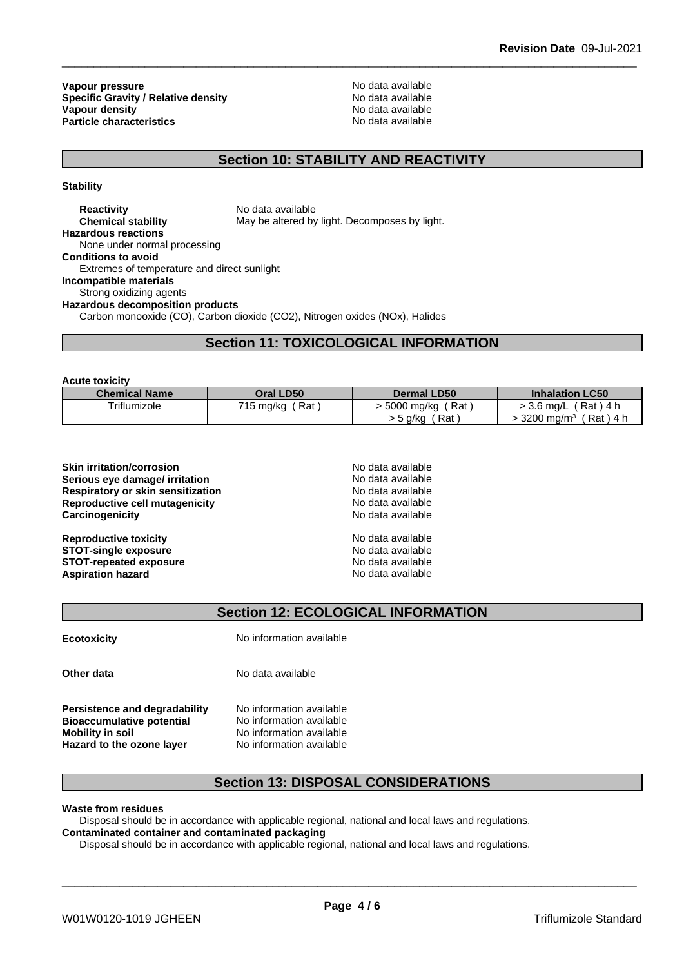**Vapour pressure**<br> **Specific Gravity / Relative density**<br> **Specific Gravity / Relative density**<br> **No data available Specific Gravity / Relative density Vapour density Particle characteristics** No data available

**No data available** 

## **Section 10: STABILITY AND REACTIVITY**

**Stability**

**Reactivity** No data available **Chemical stability** May be altered by light. Decomposes by light. **Hazardous reactions** None under normal processing **Conditions to avoid** Extremes of temperature and direct sunlight **Incompatible materials** Strong oxidizing agents **Hazardous decomposition products** Carbon monooxide (CO), Carbon dioxide (CO2), Nitrogen oxides (NOx), Halides

### **Section 11: TOXICOLOGICAL INFORMATION**

**Acute toxicity**

| <b>Chemical Name</b> | Oral LD50          | <b>Dermal LD50</b>  | <b>Inhalation LC50</b>             |
|----------------------|--------------------|---------------------|------------------------------------|
| Triflumizole         | 715 mg/kg<br>Rat : | Rat<br>. 5000 mg/kg | (Rat)4 h<br>- 3.6 mg/L             |
|                      |                    | Rat<br>, a/ka       | 3200 mg/m <sup>3</sup><br>(Rat)4 h |

| No data available |  |
|-------------------|--|
| No data available |  |
| No data available |  |
| No data available |  |
| No data available |  |
| No data available |  |
| No data available |  |
| No data available |  |
| No data available |  |
|                   |  |

### **Section 12: ECOLOGICAL INFORMATION**

**Ecotoxicity** No information available

**Other data** No data available

**Persistence and degradability** No information available<br>**Bioaccumulative potential** No information available **Bioaccumulative potential** 

**Mobility** in soil No information available **Hazard to the ozone layer** No information available

### **Section 13: DISPOSAL CONSIDERATIONS**

**Waste from residues**

Disposal should be in accordance with applicable regional, national and local laws and regulations. **Contaminated container and contaminated packaging**

Disposal should be in accordance with applicable regional, national and local laws and regulations.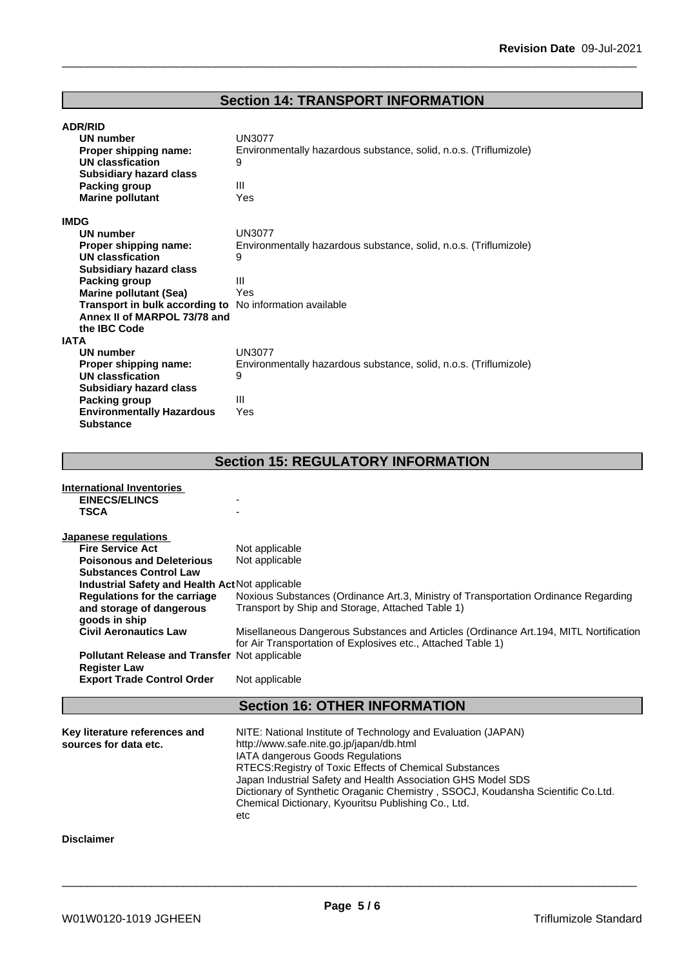## **Section 14: TRANSPORT INFORMATION**

| <b>ADR/RID</b>                                  |                                                                                       |
|-------------------------------------------------|---------------------------------------------------------------------------------------|
| UN number                                       | UN3077                                                                                |
| Proper shipping name:                           | Environmentally hazardous substance, solid, n.o.s. (Triflumizole)                     |
| <b>UN classfication</b>                         | 9                                                                                     |
| <b>Subsidiary hazard class</b>                  |                                                                                       |
| <b>Packing group</b>                            | Ш                                                                                     |
| <b>Marine pollutant</b>                         | Yes                                                                                   |
| <b>IMDG</b>                                     |                                                                                       |
| UN number                                       | UN3077                                                                                |
| Proper shipping name:                           | Environmentally hazardous substance, solid, n.o.s. (Triflumizole)                     |
| UN classfication                                | 9                                                                                     |
| <b>Subsidiary hazard class</b>                  |                                                                                       |
| <b>Packing group</b>                            | III                                                                                   |
| <b>Marine pollutant (Sea)</b>                   | Yes                                                                                   |
| Transport in bulk according to                  | No information available                                                              |
| Annex II of MARPOL 73/78 and                    |                                                                                       |
| the IBC Code                                    |                                                                                       |
| <b>IATA</b>                                     |                                                                                       |
| UN number                                       | UN3077                                                                                |
| Proper shipping name:                           | Environmentally hazardous substance, solid, n.o.s. (Triflumizole)                     |
| <b>UN classfication</b>                         | 9                                                                                     |
| <b>Subsidiary hazard class</b>                  |                                                                                       |
| <b>Packing group</b>                            | Ш                                                                                     |
| <b>Environmentally Hazardous</b>                | Yes                                                                                   |
| <b>Substance</b>                                |                                                                                       |
|                                                 |                                                                                       |
|                                                 | <b>Section 15: REGULATORY INFORMATION</b>                                             |
|                                                 |                                                                                       |
| <b>International Inventories</b>                |                                                                                       |
| <b>EINECS/ELINCS</b>                            |                                                                                       |
| <b>TSCA</b>                                     |                                                                                       |
|                                                 |                                                                                       |
| Japanese regulations                            |                                                                                       |
| <b>Fire Service Act</b>                         | Not applicable                                                                        |
| <b>Poisonous and Deleterious</b>                | Not applicable                                                                        |
| <b>Substances Control Law</b>                   |                                                                                       |
| Industrial Safety and Health Act Not applicable |                                                                                       |
| <b>Regulations for the carriage</b>             | Noxious Substances (Ordinance Art.3, Ministry of Transportation Ordinance Regarding   |
| and storage of dangerous                        | Transport by Ship and Storage, Attached Table 1)                                      |
| goods in ship                                   |                                                                                       |
| <b>Civil Aeronautics Law</b>                    | Misellaneous Dangerous Substances and Articles (Ordinance Art.194, MITL Nortification |
| Pollutant Release and Transfer Not applicable   | for Air Transportation of Explosives etc., Attached Table 1)                          |
|                                                 |                                                                                       |
|                                                 |                                                                                       |
| <b>Register Law</b>                             |                                                                                       |
| <b>Export Trade Control Order</b>               | Not applicable                                                                        |
|                                                 |                                                                                       |
|                                                 | <b>Section 16: OTHER INFORMATION</b>                                                  |
| Key literature references and                   | NITE: National Institute of Technology and Evaluation (JAPAN)                         |

**Key literature references and NITE**: National Institute of Technology and Evaluation (JAPAN)<br>**sources for data etc.** http://www.safe.nite.go.jp/japan/db.html IATA dangerous Goods Regulations RTECS:Registry of Toxic Effects of Chemical Substances Japan Industrial Safety and Health Association GHS Model SDS Dictionary of Synthetic Oraganic Chemistry , SSOCJ, Koudansha Scientific Co.Ltd. Chemical Dictionary, Kyouritsu Publishing Co., Ltd. etc

**Disclaimer**

\_\_\_\_\_\_\_\_\_\_\_\_\_\_\_\_\_\_\_\_\_\_\_\_\_\_\_\_\_\_\_\_\_\_\_\_\_\_\_\_\_\_\_\_\_\_\_\_\_\_\_\_\_\_\_\_\_\_\_\_\_\_\_\_\_\_\_\_\_\_\_\_\_\_\_\_\_\_\_\_\_\_\_\_\_\_\_\_\_\_